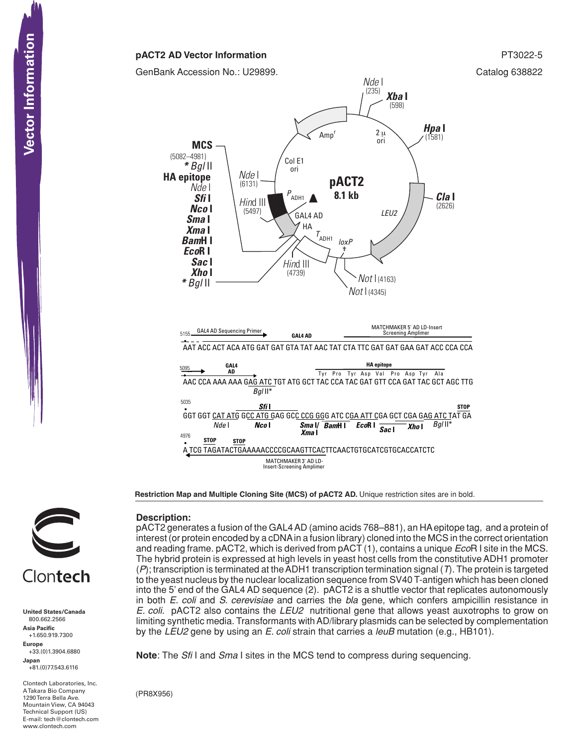# **pACT2 AD Vector Information PT3022-5**

GenBank Accession No.: U29899. Catalog 638822



**Restriction Map and Multiple Cloning Site (MCS) of pACT2 AD.** Unique restriction sites are in bold.



**United States/Canada** 800.662.2566 **Asia Pacific** +1.650.919.7300 **Europe** +33.(0)1.3904.6880 **Japan** +81.(0)77.543.6116

Clontech Laboratories, Inc. A Takara Bio Company 1290 Terra Bella Ave. Mountain View, CA 94043 Technical Support (US) E-mail: tech@clontech.com<br>www.clontech.com **Description:**

pACT2 generates a fusion of the GAL4AD (amino acids 768–881), an HAepitope tag, and a protein of interest (or protein encoded by a cDNAin a fusion library) cloned into the MCS in the correct orientation and reading frame. pACT2, which is derived from pACT (1), contains a unique *Eco*R I site in the MCS. The hybrid protein is expressed at high levels in yeast host cells from the constitutive ADH1 promoter (*P*); transcription is terminated at theADH1 transcription termination signal (*T*). The protein is targeted to the yeast nucleus by the nuclear localization sequence from SV40 T-antigen which has been cloned into the 5' end of the GAL4 AD sequence (2). pACT2 is a shuttle vector that replicates autonomously in both *E. coli* and *S. cerevisiae* and carries the *bla* gene, which confers ampicillin resistance in *E. coli.* pACT2 also contains the *LEU2* nutritional gene that allows yeast auxotrophs to grow on limiting synthetic media. Transformants withAD/library plasmids can be selected by complementation by the *LEU2* gene by using an *E. coli* strain that carries a *leuB* mutation (e.g., HB101).

**Note**: The *Sfi* I and *Sma* I sites in the MCS tend to compress during sequencing.

(PR8X956)